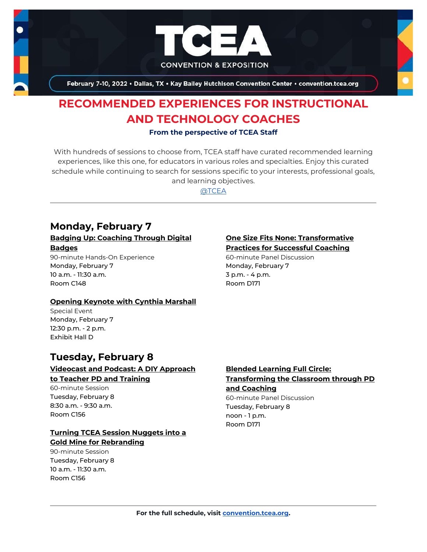

February 7-10, 2022 . Dallas, TX . Kay Bailey Hutchison Convention Center . convention.tcea.org

# **RECOMMENDED EXPERIENCES FOR INSTRUCTIONAL AND TECHNOLOGY COACHES**

#### **From the perspective of TCEA Staff**

With hundreds of sessions to choose from, TCEA staff have curated recommended learning experiences, like this one, for educators in various roles and specialties. Enjoy this curated schedule while continuing to search for sessions specific to your interests, professional goals, and learning objectives.

[@TCEA](https://twitter.com/TCEA)

# **Monday, February 7**

#### **[Badging Up: Coaching Through Digital](https://register.tcea.org/2022/session_list.cfm?session_key=0231695D-F04D-A206-2B64-426CF1F306D8&session_date=Monday,%20Feb%2007,%202022)  [Badges](https://register.tcea.org/2022/session_list.cfm?session_key=0231695D-F04D-A206-2B64-426CF1F306D8&session_date=Monday,%20Feb%2007,%202022)**

90-minute Hands-On Experience Monday, February 7 10 a.m. - 11:30 a.m. Room C148

#### **[Opening Keynote with Cynthia Marshall](https://register.tcea.org/2022/session_list.cfm?session_key=5F0745B8-F04D-A206-2B64-0D4631096E34&session_date=Monday,%20Feb%2007,%202022)**

Special Event Monday, February 7 12:30 p.m. - 2 p.m. Exhibit Hall D

# **Tuesday, February 8**

#### **[Videocast and Podcast: A DIY Approach](https://register.tcea.org/2022/session_list.cfm?session_key=02453462-F04D-A206-2B64-2478478B5300&session_date=Tuesday,%20Feb%2008,%202022)  [to Teacher PD and Training](https://register.tcea.org/2022/session_list.cfm?session_key=02453462-F04D-A206-2B64-2478478B5300&session_date=Tuesday,%20Feb%2008,%202022)**

60-minute Session Tuesday, February 8 8:30 a.m. - 9:30 a.m.

Room C156

## **[Turning TCEA Session Nuggets into a](https://register.tcea.org/2022/session_list.cfm?session_key=0243A2B6-F04D-A206-2B64-B03B75B4BEC9&session_date=Tuesday,%20Feb%2008,%202022)  [Gold Mine for Rebranding](https://register.tcea.org/2022/session_list.cfm?session_key=0243A2B6-F04D-A206-2B64-B03B75B4BEC9&session_date=Tuesday,%20Feb%2008,%202022)**

90-minute Session Tuesday, February 8 10 a.m. - 11:30 a.m. Room C156

### **[One Size Fits None: Transformative](https://register.tcea.org/2022/session_list.cfm?session_key=023DE358-F04D-A206-2B64-FBC71229EF1F&session_date=Monday,%20Feb%2007,%202022)  [Practices for Successful Coaching](https://register.tcea.org/2022/session_list.cfm?session_key=023DE358-F04D-A206-2B64-FBC71229EF1F&session_date=Monday,%20Feb%2007,%202022)**

60-minute Panel Discussion Monday, February 7 3 p.m. - 4 p.m. Room D171

#### **[Blended Learning Full Circle:](https://register.tcea.org/2022/session_list.cfm?session_key=0231DD8C-F04D-A206-2B64-95FCEBD19AFD&session_date=Tuesday,%20Feb%2008,%202022)  [Transforming the Classroom through PD](https://register.tcea.org/2022/session_list.cfm?session_key=0231DD8C-F04D-A206-2B64-95FCEBD19AFD&session_date=Tuesday,%20Feb%2008,%202022)  [and Coaching](https://register.tcea.org/2022/session_list.cfm?session_key=0231DD8C-F04D-A206-2B64-95FCEBD19AFD&session_date=Tuesday,%20Feb%2008,%202022)**

60-minute Panel Discussion Tuesday, February 8 noon - 1 p.m. Room D171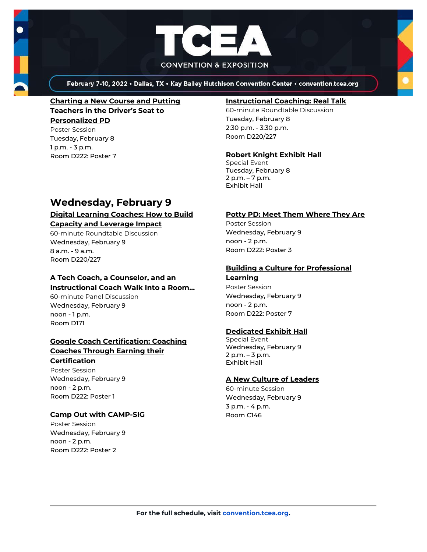

February 7-10, 2022 . Dallas, TX . Kay Bailey Hutchison Convention Center . convention.tcea.org

# **[Charting a New Course and Putting](https://register.tcea.org/2022/session_list.cfm?session_key=023329FC-F04D-A206-2B64-9C616A9FFBC3&session_date=Tuesday,%20Feb%2008,%202022)  [Teachers in the Driver's Seat to](https://register.tcea.org/2022/session_list.cfm?session_key=023329FC-F04D-A206-2B64-9C616A9FFBC3&session_date=Tuesday,%20Feb%2008,%202022)  [Personalized PD](https://register.tcea.org/2022/session_list.cfm?session_key=023329FC-F04D-A206-2B64-9C616A9FFBC3&session_date=Tuesday,%20Feb%2008,%202022)**

Poster Session Tuesday, February 8 1 p.m. - 3 p.m. Room D222: Poster 7

#### **[Instructional Coaching: Real Talk](https://register.tcea.org/2022/session_list.cfm?session_key=023B79CD-F04D-A206-2B64-1CE6FD3B8C55&session_date=Tuesday,%20Feb%2008,%202022)**

60-minute Roundtable Discussion Tuesday, February 8 2:30 p.m. - 3:30 p.m. Room D220/227

### **[Robert Knight Exhibit Hall](https://register.tcea.org/2022/session_list.cfm?session_key=61CDF249-F04D-A206-2B64-15D6559D2515&session_date=Tuesday,%20Feb%2008,%202022)**

Special Event Tuesday, February 8 2 p.m. – 7 p.m. Exhibit Hall

# **Wednesday, February 9**

#### **[Digital Learning Coaches: How to Build](https://register.tcea.org/2022/session_list.cfm?session_key=02362B8F-F04D-A206-2B64-816EF957D194&session_date=Wednesday,%20Feb%2009,%202022)  [Capacity and Leverage Impact](https://register.tcea.org/2022/session_list.cfm?session_key=02362B8F-F04D-A206-2B64-816EF957D194&session_date=Wednesday,%20Feb%2009,%202022)**

60-minute Roundtable Discussion Wednesday, February 9 8 a.m. - 9 a.m. Room D220/227

# **[A Tech Coach, a Counselor, and an](https://register.tcea.org/2022/session_list.cfm?session_key=02302E82-F04D-A206-2B64-ED1CE12D000A&session_date=Wednesday,%20Feb%2009,%202022)  [Instructional Coach Walk Into a Room...](https://register.tcea.org/2022/session_list.cfm?session_key=02302E82-F04D-A206-2B64-ED1CE12D000A&session_date=Wednesday,%20Feb%2009,%202022)**

60-minute Panel Discussion Wednesday, February 9 noon - 1 p.m. Room D171

## **[Google Coach Certification: Coaching](https://register.tcea.org/2022/session_list.cfm?session_key=023907BC-F04D-A206-2B64-CE9B2A146FF1&session_date=Wednesday,%20Feb%2009,%202022)  [Coaches Through Earning their](https://register.tcea.org/2022/session_list.cfm?session_key=023907BC-F04D-A206-2B64-CE9B2A146FF1&session_date=Wednesday,%20Feb%2009,%202022)**

#### **[Certification](https://register.tcea.org/2022/session_list.cfm?session_key=023907BC-F04D-A206-2B64-CE9B2A146FF1&session_date=Wednesday,%20Feb%2009,%202022)**

Poster Session Wednesday, February 9 noon - 2 p.m. Room D222: Poster 1

### **[Camp Out with CAMP-SIG](https://register.tcea.org/2022/session_list.cfm?session_key=0232CAD2-F04D-A206-2B64-1AC0F3EFACFE&session_date=Wednesday,%20Feb%2009,%202022)**

Poster Session Wednesday, February 9 noon - 2 p.m. Room D222: Poster 2

### **[Potty PD: Meet Them Where They Are](https://register.tcea.org/2022/session_list.cfm?session_key=023EAAEC-F04D-A206-2B64-46FCDCC89D1A&session_date=Wednesday,%20Feb%2009,%202022)**

Poster Session Wednesday, February 9 noon - 2 p.m. Room D222: Poster 3

### **[Building a Culture for Professional](https://register.tcea.org/2022/session_list.cfm?session_key=02352C37-F04D-A206-2B64-EC662CE46AEF&session_date=Wednesday,%20Feb%2009,%202022)**

**[Learning](https://register.tcea.org/2022/session_list.cfm?session_key=02352C37-F04D-A206-2B64-EC662CE46AEF&session_date=Wednesday,%20Feb%2009,%202022)** Poster Session Wednesday, February 9 noon - 2 p.m. Room D222: Poster 7

### **[Dedicated Exhibit Hall](https://register.tcea.org/2022/session_list.cfm?session_key=61CDD8E6-F04D-A206-2B64-74AAAD8173D7&session_date=Wednesday,%20Feb%2009,%202022)**

Special Event Wednesday, February 9 2 p.m. – 3 p.m. Exhibit Hall

### **[A New Culture of Leaders](https://register.tcea.org/2022/session_list.cfm?session_key=02301246-F04D-A206-2B64-6C8A208EB070&session_date=Wednesday,%20Feb%2009,%202022)**

60-minute Session Wednesday, February 9 3 p.m. - 4 p.m. Room C146